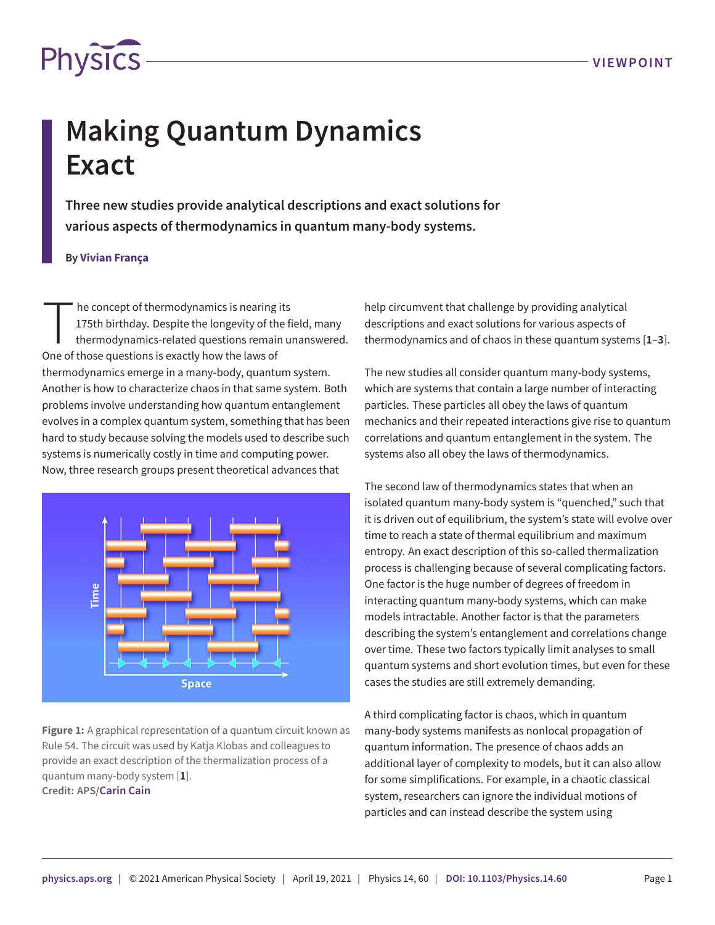

## **Making Quantum Dynamics Exact**

**Three new studies provide analytical descriptions and exact solutions for various aspects of thermodynamics in quantum many-body systems.**

## **By Vivian França**

The concept of thermodynamics is nearing<br>175th birthday. Despite the longevity of the<br>thermodynamics-related questions remai<br>One of those questions is exactly how the laws of he concept of thermodynamics is nearing its 175th birthday. Despite the longevity of the field, many thermodynamics-related questions remain unanswered. thermodynamics emerge in a many-body, quantum system. Another is how to characterize chaos in that same system. Both problems involve understanding how quantum entanglement evolves in a complex quantum system, something that has been hard to study because solving the models used to describe such systems is numerically costly in time and computing power. Now, three research groups present theoretical advances that



**Figure 1:** A graphical representation of a quantum circuit known as Rule 54. The circuit was used by Katja Klobas and colleagues to provide an exact description of the thermalization process of a quantum many-body system [**[1](#page-1-0)**]. **Credit: APS/[Carin Cain](http://www.carincain.com)**

help circumvent that challenge by providing analytical descriptions and exact solutions for various aspects of thermodynamics and of chaos in these quantum systems [**[1](#page-1-0)**–**[3](#page-2-0)**].

The new studies all consider quantum many-body systems, which are systems that contain a large number of interacting particles. These particles all obey the laws of quantum mechanics and their repeated interactions give rise to quantum correlations and quantum entanglement in the system. The systems also all obey the laws of thermodynamics.

The second law of thermodynamics states that when an isolated quantum many-body system is "quenched," such that it is driven out of equilibrium, the system's state will evolve over time to reach a state of thermal equilibrium and maximum entropy. An exact description of this so-called thermalization process is challenging because of several complicating factors. One factor is the huge number of degrees of freedom in interacting quantum many-body systems, which can make models intractable. Another factor is that the parameters describing the system's entanglement and correlations change over time. These two factors typically limit analyses to small quantum systems and short evolution times, but even for these cases the studies are still extremely demanding.

A third complicating factor is chaos, which in quantum many-body systems manifests as nonlocal propagation of quantum information. The presence of chaos adds an additional layer of complexity to models, but it can also allow for some simplifications. For example, in a chaotic classical system, researchers can ignore the individual motions of particles and can instead describe the system using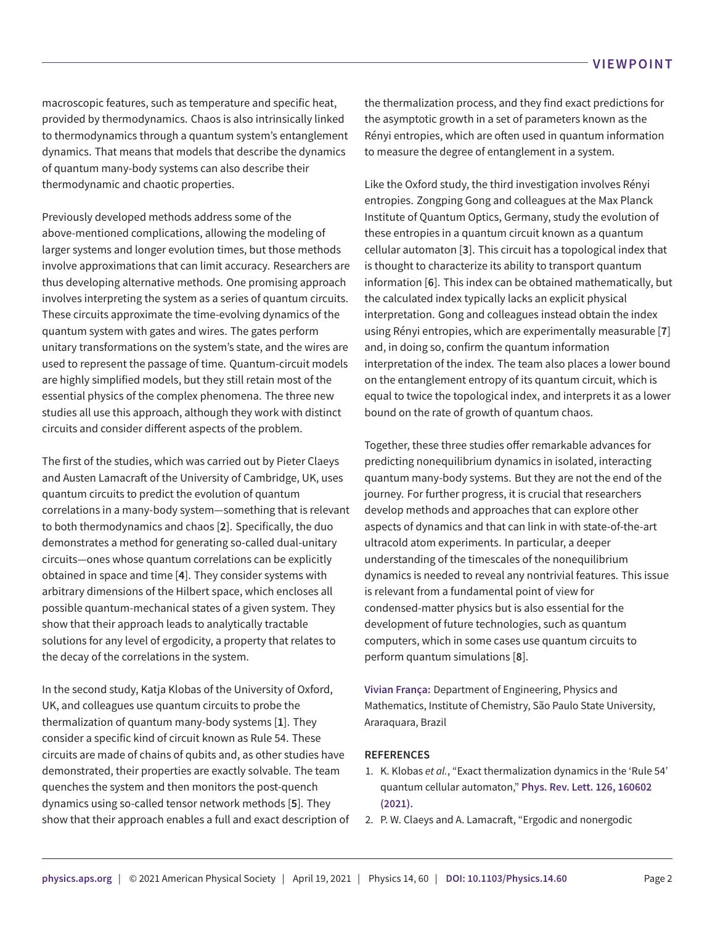macroscopic features, such as temperature and specific heat, provided by thermodynamics. Chaos is also intrinsically linked to thermodynamics through a quantum system's entanglement dynamics. That means that models that describe the dynamics of quantum many-body systems can also describe their thermodynamic and chaotic properties.

Previously developed methods address some of the above-mentioned complications, allowing the modeling of larger systems and longer evolution times, but those methods involve approximations that can limit accuracy. Researchers are thus developing alternative methods. One promising approach involves interpreting the system as a series of quantum circuits. These circuits approximate the time-evolving dynamics of the quantum system with gates and wires. The gates perform unitary transformations on the system's state, and the wires are used to represent the passage of time. Quantum-circuit models are highly simplified models, but they still retain most of the essential physics of the complex phenomena. The three new studies all use this approach, although they work with distinct circuits and consider different aspects of the problem.

The first of the studies, which was carried out by Pieter Claeys and Austen Lamacraft of the University of Cambridge, UK, uses quantum circuits to predict the evolution of quantum correlations in a many-body system—something that is relevant to both thermodynamics and chaos [**[2](#page-1-1)**]. Specifically, the duo demonstrates a method for generating so-called dual-unitary circuits—ones whose quantum correlations can be explicitly obtained in space and time [**[4](#page-2-1)**]. They consider systems with arbitrary dimensions of the Hilbert space, which encloses all possible quantum-mechanical states of a given system. They show that their approach leads to analytically tractable solutions for any level of ergodicity, a property that relates to the decay of the correlations in the system.

In the second study, Katja Klobas of the University of Oxford, UK, and colleagues use quantum circuits to probe the thermalization of quantum many-body systems [**[1](#page-1-0)**]. They consider a specific kind of circuit known as Rule 54. These circuits are made of chains of qubits and, as other studies have demonstrated, their properties are exactly solvable. The team quenches the system and then monitors the post-quench dynamics using so-called tensor network methods [**[5](#page-2-2)**]. They show that their approach enables a full and exact description of the thermalization process, and they find exact predictions for the asymptotic growth in a set of parameters known as the Rényi entropies, which are often used in quantum information to measure the degree of entanglement in a system.

Like the Oxford study, the third investigation involves Rényi entropies. Zongping Gong and colleagues at the Max Planck Institute of Quantum Optics, Germany, study the evolution of these entropies in a quantum circuit known as a quantum cellular automaton [**[3](#page-2-0)**]. This circuit has a topological index that is thought to characterize its ability to transport quantum information [**[6](#page-2-3)**]. This index can be obtained mathematically, but the calculated index typically lacks an explicit physical interpretation. Gong and colleagues instead obtain the index using Rényi entropies, which are experimentally measurable [**[7](#page-2-4)**] and, in doing so, confirm the quantum information interpretation of the index. The team also places a lower bound on the entanglement entropy of its quantum circuit, which is equal to twice the topological index, and interprets it as a lower bound on the rate of growth of quantum chaos.

Together, these three studies offer remarkable advances for predicting nonequilibrium dynamics in isolated, interacting quantum many-body systems. But they are not the end of the journey. For further progress, it is crucial that researchers develop methods and approaches that can explore other aspects of dynamics and that can link in with state-of-the-art ultracold atom experiments. In particular, a deeper understanding of the timescales of the nonequilibrium dynamics is needed to reveal any nontrivial features. This issue is relevant from a fundamental point of view for condensed-matter physics but is also essential for the development of future technologies, such as quantum computers, which in some cases use quantum circuits to perform quantum simulations [**[8](#page-2-5)**].

**Vivian França:** Department of Engineering, Physics and Mathematics, Institute of Chemistry, São Paulo State University, Araraquara, Brazil

## **REFERENCES**

- <span id="page-1-0"></span>1. K. Klobas *et al.*, "Exact thermalization dynamics in the 'Rule 54' quantum cellular automaton," **Phys. Rev. Lett. 126, 160602 (2021).**
- <span id="page-1-1"></span>2. P. W. Claeys and A. Lamacraft, "Ergodic and nonergodic